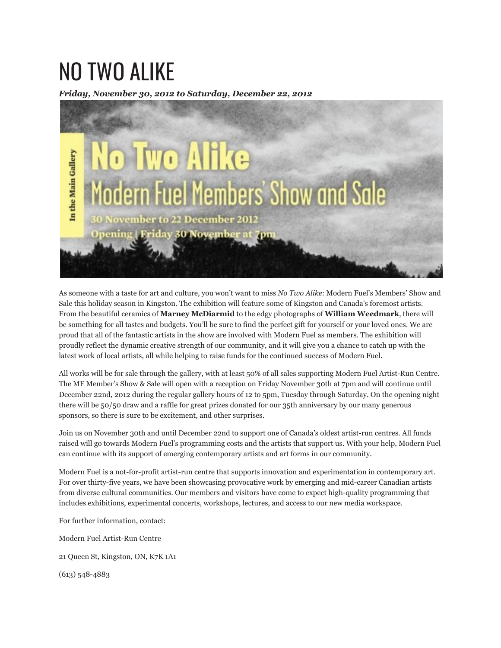## NO TWO ALIKE

*Friday, November 30, 2012 to Saturday, December 22, 2012*



As someone with a taste for art and culture, you won't want to miss *No Two Alike*: Modern Fuel's Members' Show and Sale this holiday season in Kingston. The exhibition will feature some of Kingston and Canada's foremost artists. From the beautiful ceramics of **Marney McDiarmid** to the edgy photographs of **William Weedmark**, there will be something for all tastes and budgets. You'll be sure to find the perfect gift for yourself or your loved ones. We are proud that all of the fantastic artists in the show are involved with Modern Fuel as members. The exhibition will proudly reflect the dynamic creative strength of our community, and it will give you a chance to catch up with the latest work of local artists, all while helping to raise funds for the continued success of Modern Fuel.

All works will be for sale through the gallery, with at least 50% of all sales supporting Modern Fuel Artist-Run Centre. The MF Member's Show & Sale will open with a reception on Friday November 30th at 7pm and will continue until December 22nd, 2012 during the regular gallery hours of 12 to 5pm, Tuesday through Saturday. On the opening night there will be 50/50 draw and a raffle for great prizes donated for our 35th anniversary by our many generous sponsors, so there is sure to be excitement, and other surprises.

Join us on November 30th and until December 22nd to support one of Canada's oldest artist-run centres. All funds raised will go towards Modern Fuel's programming costs and the artists that support us. With your help, Modern Fuel can continue with its support of emerging contemporary artists and art forms in our community.

Modern Fuel is a not-for-profit artist-run centre that supports innovation and experimentation in contemporary art. For over thirty-five years, we have been showcasing provocative work by emerging and mid-career Canadian artists from diverse cultural communities. Our members and visitors have come to expect high-quality programming that includes exhibitions, experimental concerts, workshops, lectures, and access to our new media workspace.

For further information, contact:

Modern Fuel Artist-Run Centre

21 Queen St, Kingston, ON, K7K 1A1

(613) 548-4883